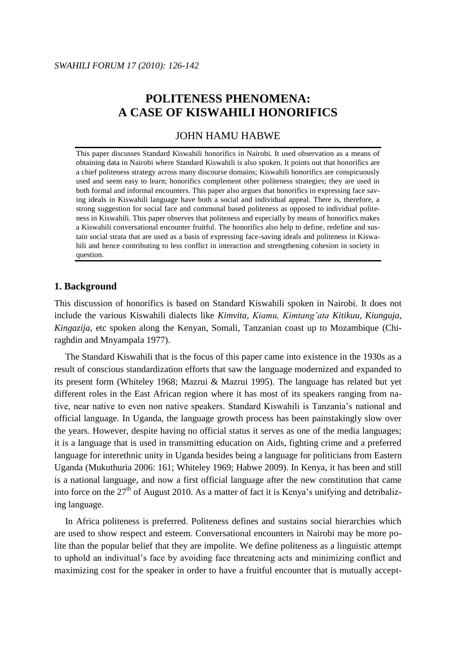# **POLITENESS PHENOMENA: A CASE OF KISWAHILI HONORIFICS**

### JOHN HAMU HABWE

This paper discusses Standard Kiswahili honorifics in Nairobi. It used observation as a means of obtaining data in Nairobi where Standard Kiswahili is also spoken. It points out that honorifics are a chief politeness strategy across many discourse domains; Kiswahili honorifics are conspicuously used and seem easy to learn; honorifics complement other politeness strategies; they are used in both formal and informal encounters. This paper also argues that honorifics in expressing face saving ideals in Kiswahili language have both a social and individual appeal. There is, therefore, a strong suggestion for social face and communal based politeness as opposed to individual politeness in Kiswahili. This paper observes that politeness and especially by means of honorifics makes a Kiswahili conversational encounter fruitful. The honorifics also help to define, redefine and sustain social strata that are used as a basis of expressing face-saving ideals and politeness in Kiswahili and hence contributing to less conflict in interaction and strengthening cohesion in society in question.

#### **1. Background**

This discussion of honorifics is based on Standard Kiswahili spoken in Nairobi. It does not include the various Kiswahili dialects like *Kimvita, Kiamu, Kimtang'ata Kitikuu, Kiunguja, Kingazija*, etc spoken along the Kenyan, Somali, Tanzanian coast up to Mozambique (Chiraghdin and Mnyampala 1977).

The Standard Kiswahili that is the focus of this paper came into existence in the 1930s as a result of conscious standardization efforts that saw the language modernized and expanded to its present form (Whiteley 1968; Mazrui & Mazrui 1995). The language has related but yet different roles in the East African region where it has most of its speakers ranging from native, near native to even non native speakers. Standard Kiswahili is Tanzania"s national and official language. In Uganda, the language growth process has been painstakingly slow over the years. However, despite having no official status it serves as one of the media languages; it is a language that is used in transmitting education on Aids, fighting crime and a preferred language for interethnic unity in Uganda besides being a language for politicians from Eastern Uganda (Mukuthuria 2006: 161; Whiteley 1969; Habwe 2009). In Kenya, it has been and still is a national language, and now a first official language after the new constitution that came into force on the  $27<sup>th</sup>$  of August 2010. As a matter of fact it is Kenya's unifying and detribalizing language.

In Africa politeness is preferred. Politeness defines and sustains social hierarchies which are used to show respect and esteem. Conversational encounters in Nairobi may be more polite than the popular belief that they are impolite. We define politeness as a linguistic attempt to uphold an indivitual"s face by avoiding face threatening acts and minimizing conflict and maximizing cost for the speaker in order to have a fruitful encounter that is mutually accept-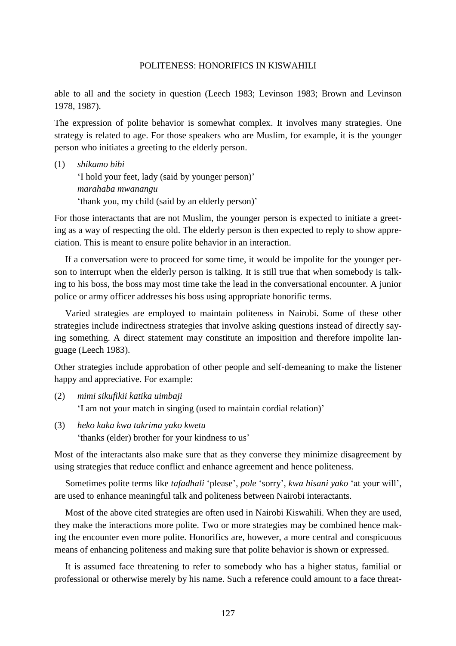able to all and the society in question (Leech 1983; Levinson 1983; Brown and Levinson 1978, 1987).

The expression of polite behavior is somewhat complex. It involves many strategies. One strategy is related to age. For those speakers who are Muslim, for example, it is the younger person who initiates a greeting to the elderly person.

(1) *shikamo bibi* "I hold your feet, lady (said by younger person)" *marahaba mwanangu* 'thank you, my child (said by an elderly person)'

For those interactants that are not Muslim, the younger person is expected to initiate a greeting as a way of respecting the old. The elderly person is then expected to reply to show appreciation. This is meant to ensure polite behavior in an interaction.

If a conversation were to proceed for some time, it would be impolite for the younger person to interrupt when the elderly person is talking. It is still true that when somebody is talking to his boss, the boss may most time take the lead in the conversational encounter. A junior police or army officer addresses his boss using appropriate honorific terms.

Varied strategies are employed to maintain politeness in Nairobi. Some of these other strategies include indirectness strategies that involve asking questions instead of directly saying something. A direct statement may constitute an imposition and therefore impolite language (Leech 1983).

Other strategies include approbation of other people and self-demeaning to make the listener happy and appreciative. For example:

- (2) *mimi sikufikii katika uimbaji* 'I am not your match in singing (used to maintain cordial relation)'
- (3) *heko kaka kwa takrima yako kwetu* 'thanks (elder) brother for your kindness to us'

Most of the interactants also make sure that as they converse they minimize disagreement by using strategies that reduce conflict and enhance agreement and hence politeness.

Sometimes polite terms like *tafadhali* "please", *pole* "sorry", *kwa hisani yako* "at your will", are used to enhance meaningful talk and politeness between Nairobi interactants.

Most of the above cited strategies are often used in Nairobi Kiswahili. When they are used, they make the interactions more polite. Two or more strategies may be combined hence making the encounter even more polite. Honorifics are, however, a more central and conspicuous means of enhancing politeness and making sure that polite behavior is shown or expressed.

It is assumed face threatening to refer to somebody who has a higher status, familial or professional or otherwise merely by his name. Such a reference could amount to a face threat-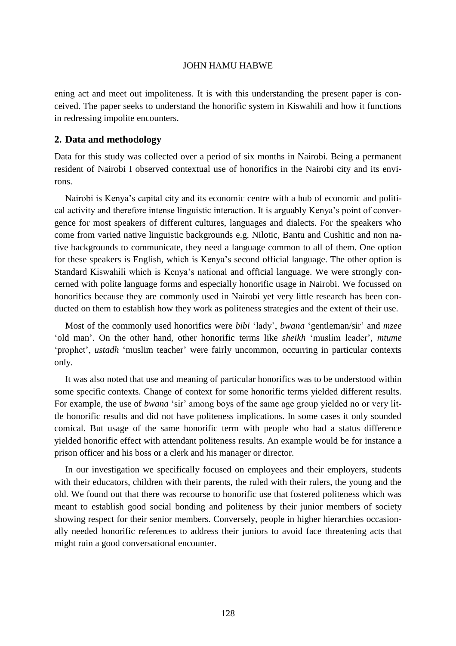ening act and meet out impoliteness. It is with this understanding the present paper is conceived. The paper seeks to understand the honorific system in Kiswahili and how it functions in redressing impolite encounters.

### **2. Data and methodology**

Data for this study was collected over a period of six months in Nairobi. Being a permanent resident of Nairobi I observed contextual use of honorifics in the Nairobi city and its environs.

Nairobi is Kenya"s capital city and its economic centre with a hub of economic and political activity and therefore intense linguistic interaction. It is arguably Kenya"s point of convergence for most speakers of different cultures, languages and dialects. For the speakers who come from varied native linguistic backgrounds e.g. Nilotic, Bantu and Cushitic and non native backgrounds to communicate, they need a language common to all of them. One option for these speakers is English, which is Kenya"s second official language. The other option is Standard Kiswahili which is Kenya"s national and official language. We were strongly concerned with polite language forms and especially honorific usage in Nairobi. We focussed on honorifics because they are commonly used in Nairobi yet very little research has been conducted on them to establish how they work as politeness strategies and the extent of their use.

Most of the commonly used honorifics were *bibi* "lady", *bwana* "gentleman/sir" and *mzee*  "old man". On the other hand, other honorific terms like *sheikh* "muslim leader", *mtume* "prophet", *ustadh* "muslim teacher" were fairly uncommon, occurring in particular contexts only.

It was also noted that use and meaning of particular honorifics was to be understood within some specific contexts. Change of context for some honorific terms yielded different results. For example, the use of *bwana* 'sir' among boys of the same age group yielded no or very little honorific results and did not have politeness implications. In some cases it only sounded comical. But usage of the same honorific term with people who had a status difference yielded honorific effect with attendant politeness results. An example would be for instance a prison officer and his boss or a clerk and his manager or director.

In our investigation we specifically focused on employees and their employers, students with their educators, children with their parents, the ruled with their rulers, the young and the old. We found out that there was recourse to honorific use that fostered politeness which was meant to establish good social bonding and politeness by their junior members of society showing respect for their senior members. Conversely, people in higher hierarchies occasionally needed honorific references to address their juniors to avoid face threatening acts that might ruin a good conversational encounter.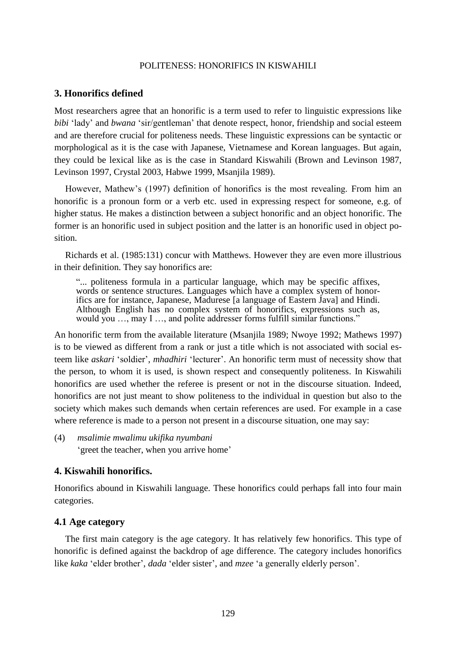### **3. Honorifics defined**

Most researchers agree that an honorific is a term used to refer to linguistic expressions like *bibi* "lady" and *bwana* "sir/gentleman" that denote respect, honor, friendship and social esteem and are therefore crucial for politeness needs. These linguistic expressions can be syntactic or morphological as it is the case with Japanese, Vietnamese and Korean languages. But again, they could be lexical like as is the case in Standard Kiswahili (Brown and Levinson 1987, Levinson 1997, Crystal 2003, Habwe 1999, Msanjila 1989).

However, Mathew"s (1997) definition of honorifics is the most revealing. From him an honorific is a pronoun form or a verb etc. used in expressing respect for someone, e.g. of higher status. He makes a distinction between a subject honorific and an object honorific. The former is an honorific used in subject position and the latter is an honorific used in object position.

Richards et al. (1985:131) concur with Matthews. However they are even more illustrious in their definition. They say honorifics are:

"... politeness formula in a particular language, which may be specific affixes, words or sentence structures. Languages which have a complex system of honorifics are for instance, Japanese, Madurese [a language of Eastern Java] and Hindi. Although English has no complex system of honorifics, expressions such as, would you ..., may I ..., and polite addresser forms fulfill similar functions."

An honorific term from the available literature (Msanjila 1989; Nwoye 1992; Mathews 1997) is to be viewed as different from a rank or just a title which is not associated with social esteem like *askari* "soldier", *mhadhiri* "lecturer". An honorific term must of necessity show that the person, to whom it is used, is shown respect and consequently politeness. In Kiswahili honorifics are used whether the referee is present or not in the discourse situation. Indeed, honorifics are not just meant to show politeness to the individual in question but also to the society which makes such demands when certain references are used. For example in a case where reference is made to a person not present in a discourse situation, one may say:

(4) *msalimie mwalimu ukifika nyumbani* 'greet the teacher, when you arrive home'

### **4. Kiswahili honorifics.**

Honorifics abound in Kiswahili language. These honorifics could perhaps fall into four main categories.

#### **4.1 Age category**

The first main category is the age category. It has relatively few honorifics. This type of honorific is defined against the backdrop of age difference. The category includes honorifics like *kaka* 'elder brother', *dada* 'elder sister', and *mzee* 'a generally elderly person'.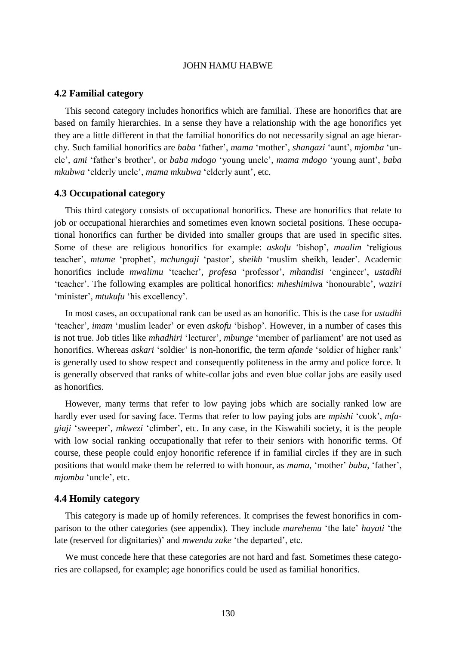#### **4.2 Familial category**

This second category includes honorifics which are familial. These are honorifics that are based on family hierarchies. In a sense they have a relationship with the age honorifics yet they are a little different in that the familial honorifics do not necessarily signal an age hierarchy. Such familial honorifics are *baba* "father", *mama* "mother", *shangazi* "aunt", *mjomba* "uncle", *ami* "father"s brother", or *baba mdogo* "young uncle", *mama mdogo* "young aunt", *baba mkubwa* "elderly uncle", *mama mkubwa* "elderly aunt", etc.

#### **4.3 Occupational category**

This third category consists of occupational honorifics. These are honorifics that relate to job or occupational hierarchies and sometimes even known societal positions. These occupational honorifics can further be divided into smaller groups that are used in specific sites. Some of these are religious honorifics for example: *askofu* "bishop", *maalim* "religious teacher", *mtume* "prophet", *mchungaji* "pastor", *sheikh* "muslim sheikh, leader". Academic honorifics include *mwalimu* "teacher", *profesa* "professor", *mhandisi* "engineer", *ustadhi*  "teacher". The following examples are political honorifics: *mheshimiw*a "honourable", *waziri*  'minister', *mtukufu* 'his excellency'.

In most cases, an occupational rank can be used as an honorific. This is the case for *ustadhi* 'teacher', *imam* 'muslim leader' or even *askofu* 'bishop'. However, in a number of cases this is not true. Job titles like *mhadhiri* 'lecturer', *mbunge* 'member of parliament' are not used as honorifics. Whereas *askari* "soldier" is non-honorific, the term *afande* "soldier of higher rank" is generally used to show respect and consequently politeness in the army and police force. It is generally observed that ranks of white-collar jobs and even blue collar jobs are easily used as honorifics.

However, many terms that refer to low paying jobs which are socially ranked low are hardly ever used for saving face. Terms that refer to low paying jobs are *mpishi* 'cook', *mfagiaji* 'sweeper', *mkwezi* 'climber', etc. In any case, in the Kiswahili society, it is the people with low social ranking occupationally that refer to their seniors with honorific terms. Of course, these people could enjoy honorific reference if in familial circles if they are in such positions that would make them be referred to with honour, as *mama*, 'mother' *baba*, 'father', *mjomba* "uncle", etc.

#### **4.4 Homily category**

This category is made up of homily references. It comprises the fewest honorifics in comparison to the other categories (see appendix). They include *marehemu* "the late" *hayati* "the late (reserved for dignitaries)" and *mwenda zake* "the departed", etc.

We must concede here that these categories are not hard and fast. Sometimes these categories are collapsed, for example; age honorifics could be used as familial honorifics.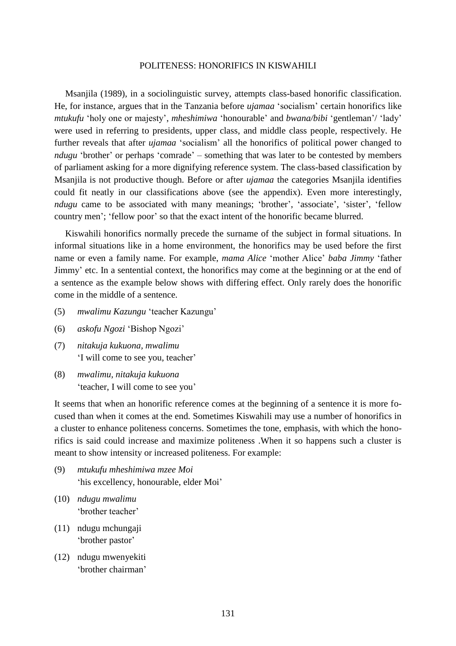Msanjila (1989), in a sociolinguistic survey, attempts class-based honorific classification. He, for instance, argues that in the Tanzania before *ujamaa* "socialism" certain honorifics like *mtukufu* "holy one or majesty", *mheshimiwa* "honourable" and *bwana/bibi* "gentleman"/ "lady" were used in referring to presidents, upper class, and middle class people, respectively. He further reveals that after *ujamaa* 'socialism' all the honorifics of political power changed to *ndugu* 'brother' or perhaps 'comrade' – something that was later to be contested by members of parliament asking for a more dignifying reference system. The class-based classification by Msanjila is not productive though. Before or after *ujamaa* the categories Msanjila identifies could fit neatly in our classifications above (see the appendix). Even more interestingly, *ndugu* came to be associated with many meanings; 'brother', 'associate', 'sister', 'fellow country men"; "fellow poor" so that the exact intent of the honorific became blurred.

Kiswahili honorifics normally precede the surname of the subject in formal situations. In informal situations like in a home environment, the honorifics may be used before the first name or even a family name. For example, *mama Alice* "mother Alice" *baba Jimmy* "father Jimmy" etc. In a sentential context, the honorifics may come at the beginning or at the end of a sentence as the example below shows with differing effect. Only rarely does the honorific come in the middle of a sentence.

- (5) *mwalimu Kazungu* "teacher Kazungu"
- (6) *askofu Ngozi* "Bishop Ngozi"
- (7) *nitakuja kukuona, mwalimu* 'I will come to see you, teacher'
- (8) *mwalimu, nitakuja kukuona* 'teacher, I will come to see you'

It seems that when an honorific reference comes at the beginning of a sentence it is more focused than when it comes at the end. Sometimes Kiswahili may use a number of honorifics in a cluster to enhance politeness concerns. Sometimes the tone, emphasis, with which the honorifics is said could increase and maximize politeness .When it so happens such a cluster is meant to show intensity or increased politeness. For example:

- (9) *mtukufu mheshimiwa mzee Moi* 'his excellency, honourable, elder Moi'
- (10) *ndugu mwalimu* "brother teacher"
- (11) ndugu mchungaji 'brother pastor'
- (12) ndugu mwenyekiti "brother chairman"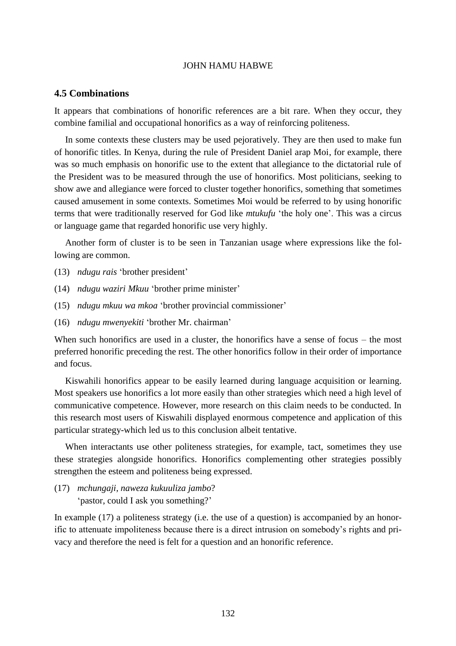### **4.5 Combinations**

It appears that combinations of honorific references are a bit rare. When they occur, they combine familial and occupational honorifics as a way of reinforcing politeness.

In some contexts these clusters may be used pejoratively. They are then used to make fun of honorific titles. In Kenya, during the rule of President Daniel arap Moi, for example, there was so much emphasis on honorific use to the extent that allegiance to the dictatorial rule of the President was to be measured through the use of honorifics. Most politicians, seeking to show awe and allegiance were forced to cluster together honorifics, something that sometimes caused amusement in some contexts. Sometimes Moi would be referred to by using honorific terms that were traditionally reserved for God like *mtukufu* "the holy one". This was a circus or language game that regarded honorific use very highly.

Another form of cluster is to be seen in Tanzanian usage where expressions like the following are common.

- (13) *ndugu rais* "brother president"
- (14) *ndugu waziri Mkuu* "brother prime minister"
- (15) *ndugu mkuu wa mkoa* "brother provincial commissioner"
- (16) *ndugu mwenyekiti* "brother Mr. chairman"

When such honorifics are used in a cluster, the honorifics have a sense of focus – the most preferred honorific preceding the rest. The other honorifics follow in their order of importance and focus.

Kiswahili honorifics appear to be easily learned during language acquisition or learning. Most speakers use honorifics a lot more easily than other strategies which need a high level of communicative competence. However, more research on this claim needs to be conducted. In this research most users of Kiswahili displayed enormous competence and application of this particular strategy-which led us to this conclusion albeit tentative.

When interactants use other politeness strategies, for example, tact, sometimes they use these strategies alongside honorifics. Honorifics complementing other strategies possibly strengthen the esteem and politeness being expressed.

(17) *mchungaji, naweza kukuuliza jambo*? 'pastor, could I ask you something?'

In example (17) a politeness strategy (i.e. the use of a question) is accompanied by an honorific to attenuate impoliteness because there is a direct intrusion on somebody"s rights and privacy and therefore the need is felt for a question and an honorific reference.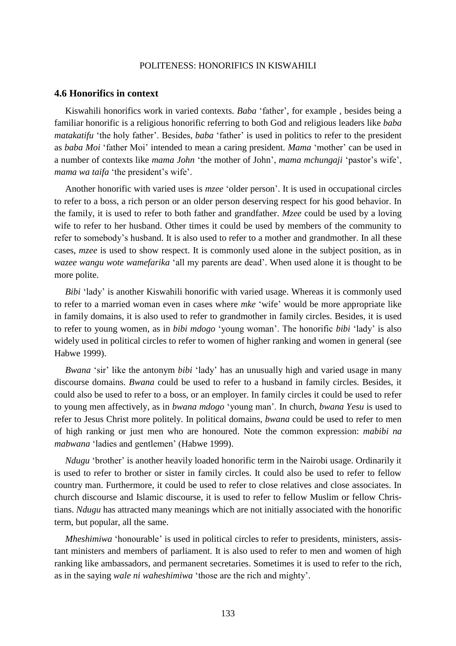### **4.6 Honorifics in context**

Kiswahili honorifics work in varied contexts. *Baba* 'father', for example, besides being a familiar honorific is a religious honorific referring to both God and religious leaders like *baba matakatifu* 'the holy father'. Besides, *baba* 'father' is used in politics to refer to the president as *baba Moi* "father Moi" intended to mean a caring president. *Mama* "mother" can be used in a number of contexts like *mama John* "the mother of John", *mama mchungaji* "pastor"s wife", *mama wa taifa* 'the president's wife'.

Another honorific with varied uses is *mzee* "older person". It is used in occupational circles to refer to a boss, a rich person or an older person deserving respect for his good behavior. In the family, it is used to refer to both father and grandfather. *Mzee* could be used by a loving wife to refer to her husband. Other times it could be used by members of the community to refer to somebody"s husband. It is also used to refer to a mother and grandmother. In all these cases, *mzee* is used to show respect. It is commonly used alone in the subject position, as in *wazee wangu wote wamefarika* "all my parents are dead". When used alone it is thought to be more polite.

*Bibi* "lady" is another Kiswahili honorific with varied usage. Whereas it is commonly used to refer to a married woman even in cases where *mke* "wife" would be more appropriate like in family domains, it is also used to refer to grandmother in family circles. Besides, it is used to refer to young women, as in *bibi mdogo* "young woman". The honorific *bibi* "lady" is also widely used in political circles to refer to women of higher ranking and women in general (see Habwe 1999).

*Bwana* 'sir' like the antonym *bibi* 'lady' has an unusually high and varied usage in many discourse domains. *Bwana* could be used to refer to a husband in family circles. Besides, it could also be used to refer to a boss, or an employer. In family circles it could be used to refer to young men affectively, as in *bwana mdogo* "young man". In church, *bwana Yesu* is used to refer to Jesus Christ more politely. In political domains, *bwana* could be used to refer to men of high ranking or just men who are honoured. Note the common expression: *mabibi na mabwana* "ladies and gentlemen" (Habwe 1999).

*Ndugu* "brother" is another heavily loaded honorific term in the Nairobi usage. Ordinarily it is used to refer to brother or sister in family circles. It could also be used to refer to fellow country man. Furthermore, it could be used to refer to close relatives and close associates. In church discourse and Islamic discourse, it is used to refer to fellow Muslim or fellow Christians. *Ndugu* has attracted many meanings which are not initially associated with the honorific term, but popular, all the same.

*Mheshimiwa* 'honourable' is used in political circles to refer to presidents, ministers, assistant ministers and members of parliament. It is also used to refer to men and women of high ranking like ambassadors, and permanent secretaries. Sometimes it is used to refer to the rich, as in the saying *wale ni waheshimiwa* "those are the rich and mighty".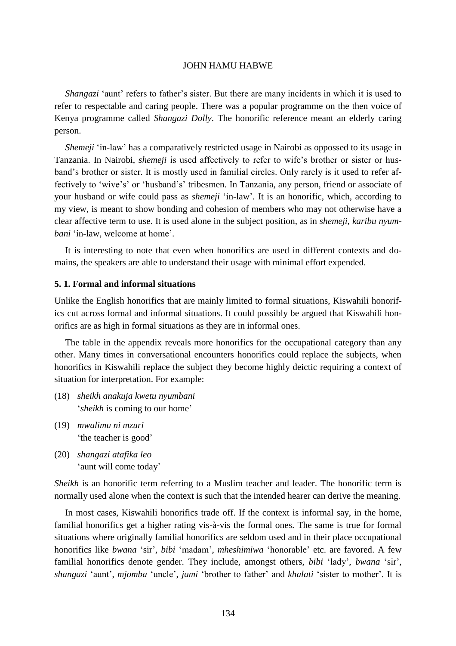*Shangazi* 'aunt' refers to father's sister. But there are many incidents in which it is used to refer to respectable and caring people. There was a popular programme on the then voice of Kenya programme called *Shangazi Dolly*. The honorific reference meant an elderly caring person.

*Shemeji* 'in-law' has a comparatively restricted usage in Nairobi as oppossed to its usage in Tanzania. In Nairobi, *shemeji* is used affectively to refer to wife"s brother or sister or husband"s brother or sister. It is mostly used in familial circles. Only rarely is it used to refer affectively to "wive"s" or "husband"s" tribesmen. In Tanzania, any person, friend or associate of your husband or wife could pass as *shemeji* "in-law"*.* It is an honorific, which, according to my view, is meant to show bonding and cohesion of members who may not otherwise have a clear affective term to use. It is used alone in the subject position, as in *shemeji, karibu nyumbani* 'in-law, welcome at home'.

It is interesting to note that even when honorifics are used in different contexts and domains, the speakers are able to understand their usage with minimal effort expended.

### **5. 1. Formal and informal situations**

Unlike the English honorifics that are mainly limited to formal situations, Kiswahili honorifics cut across formal and informal situations. It could possibly be argued that Kiswahili honorifics are as high in formal situations as they are in informal ones.

The table in the appendix reveals more honorifics for the occupational category than any other. Many times in conversational encounters honorifics could replace the subjects, when honorifics in Kiswahili replace the subject they become highly deictic requiring a context of situation for interpretation. For example:

- (18) *sheikh anakuja kwetu nyumbani 'sheikh* is coming to our home'
- (19) *mwalimu ni mzuri* the teacher is good'
- (20) *shangazi atafika leo* 'aunt will come today'

*Sheikh* is an honorific term referring to a Muslim teacher and leader. The honorific term is normally used alone when the context is such that the intended hearer can derive the meaning.

In most cases, Kiswahili honorifics trade off. If the context is informal say, in the home, familial honorifics get a higher rating vis-à-vis the formal ones. The same is true for formal situations where originally familial honorifics are seldom used and in their place occupational honorifics like *bwana* "sir"*, bibi* "madam", *mheshimiwa* "honorable" etc. are favored. A few familial honorifics denote gender. They include, amongst others, *bibi* "lady", *bwana* "sir", *shangazi* "aunt", *mjomba* "uncle", *jami* "brother to father" and *khalati* "sister to mother". It is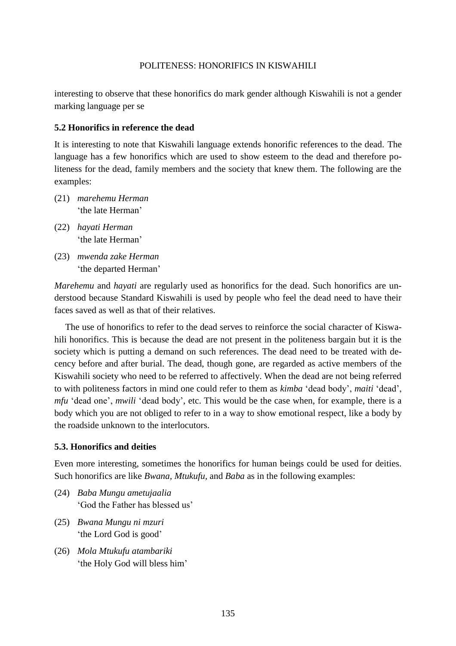interesting to observe that these honorifics do mark gender although Kiswahili is not a gender marking language per se

### **5.2 Honorifics in reference the dead**

It is interesting to note that Kiswahili language extends honorific references to the dead. The language has a few honorifics which are used to show esteem to the dead and therefore politeness for the dead, family members and the society that knew them. The following are the examples:

- (21) *marehemu Herman* 'the late Herman'
- (22) *hayati Herman* 'the late Herman'
- (23) *mwenda zake Herman* 'the departed Herman'

*Marehemu* and *hayati* are regularly used as honorifics for the dead. Such honorifics are understood because Standard Kiswahili is used by people who feel the dead need to have their faces saved as well as that of their relatives.

The use of honorifics to refer to the dead serves to reinforce the social character of Kiswahili honorifics. This is because the dead are not present in the politeness bargain but it is the society which is putting a demand on such references. The dead need to be treated with decency before and after burial. The dead, though gone, are regarded as active members of the Kiswahili society who need to be referred to affectively. When the dead are not being referred to with politeness factors in mind one could refer to them as *kimba* "dead body", *maiti* "dead", *mfu* 'dead one', *mwili* 'dead body', etc. This would be the case when, for example, there is a body which you are not obliged to refer to in a way to show emotional respect, like a body by the roadside unknown to the interlocutors.

### **5.3. Honorifics and deities**

Even more interesting, sometimes the honorifics for human beings could be used for deities. Such honorifics are like *Bwana, Mtukufu,* and *Baba* as in the following examples:

- (24) *Baba Mungu ametujaalia* "God the Father has blessed us"
- (25) *Bwana Mungu ni mzuri* 'the Lord God is good'
- (26) *Mola Mtukufu atambariki* 'the Holy God will bless him'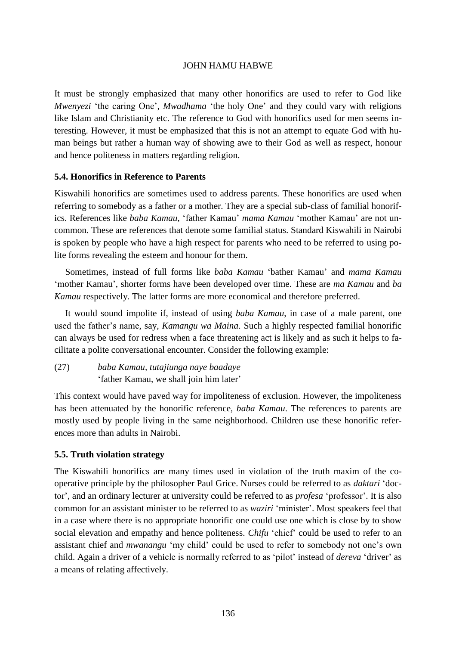It must be strongly emphasized that many other honorifics are used to refer to God like *Mwenyezi* 'the caring One', *Mwadhama* 'the holy One' and they could vary with religions like Islam and Christianity etc. The reference to God with honorifics used for men seems interesting. However, it must be emphasized that this is not an attempt to equate God with human beings but rather a human way of showing awe to their God as well as respect, honour and hence politeness in matters regarding religion.

### **5.4. Honorifics in Reference to Parents**

Kiswahili honorifics are sometimes used to address parents. These honorifics are used when referring to somebody as a father or a mother. They are a special sub-class of familial honorifics. References like *baba Kamau*, "father Kamau" *mama Kamau* "mother Kamau" are not uncommon. These are references that denote some familial status. Standard Kiswahili in Nairobi is spoken by people who have a high respect for parents who need to be referred to using polite forms revealing the esteem and honour for them.

Sometimes, instead of full forms like *baba Kamau* "bather Kamau" and *mama Kamau* "mother Kamau", shorter forms have been developed over time. These are *ma Kamau* and *ba Kamau* respectively. The latter forms are more economical and therefore preferred.

It would sound impolite if, instead of using *baba Kamau*, in case of a male parent, one used the father"s name, say, *Kamangu wa Maina*. Such a highly respected familial honorific can always be used for redress when a face threatening act is likely and as such it helps to facilitate a polite conversational encounter. Consider the following example:

(27) *baba Kamau, tutajiunga naye baadaye* "father Kamau, we shall join him later"

This context would have paved way for impoliteness of exclusion. However, the impoliteness has been attenuated by the honorific reference, *baba Kamau*. The references to parents are mostly used by people living in the same neighborhood. Children use these honorific references more than adults in Nairobi.

### **5.5. Truth violation strategy**

The Kiswahili honorifics are many times used in violation of the truth maxim of the cooperative principle by the philosopher Paul Grice. Nurses could be referred to as *daktari* "doctor", and an ordinary lecturer at university could be referred to as *profesa* "professor". It is also common for an assistant minister to be referred to as *waziri* "minister". Most speakers feel that in a case where there is no appropriate honorific one could use one which is close by to show social elevation and empathy and hence politeness. *Chifu* 'chief' could be used to refer to an assistant chief and *mwanangu* "my child" could be used to refer to somebody not one"s own child. Again a driver of a vehicle is normally referred to as "pilot" instead of *dereva* "driver" as a means of relating affectively.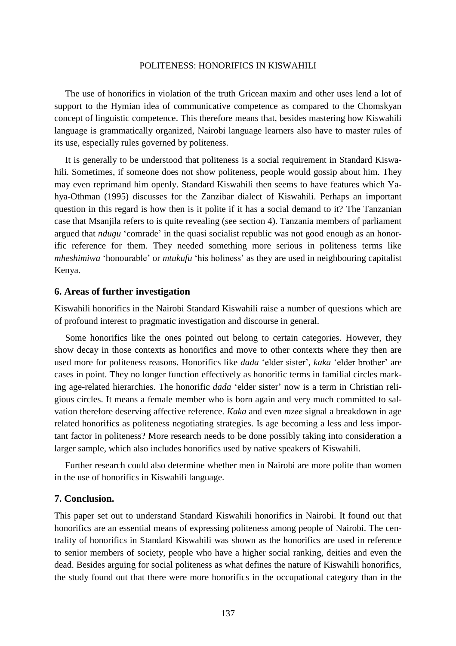The use of honorifics in violation of the truth Gricean maxim and other uses lend a lot of support to the Hymian idea of communicative competence as compared to the Chomskyan concept of linguistic competence. This therefore means that, besides mastering how Kiswahili language is grammatically organized, Nairobi language learners also have to master rules of its use, especially rules governed by politeness.

It is generally to be understood that politeness is a social requirement in Standard Kiswahili. Sometimes, if someone does not show politeness, people would gossip about him. They may even reprimand him openly. Standard Kiswahili then seems to have features which Yahya-Othman (1995) discusses for the Zanzibar dialect of Kiswahili. Perhaps an important question in this regard is how then is it polite if it has a social demand to it? The Tanzanian case that Msanjila refers to is quite revealing (see section 4). Tanzania members of parliament argued that *ndugu* 'comrade' in the quasi socialist republic was not good enough as an honorific reference for them. They needed something more serious in politeness terms like *mheshimiwa* 'honourable' or *mtukufu* 'his holiness' as they are used in neighbouring capitalist Kenya.

#### **6. Areas of further investigation**

Kiswahili honorifics in the Nairobi Standard Kiswahili raise a number of questions which are of profound interest to pragmatic investigation and discourse in general.

Some honorifics like the ones pointed out belong to certain categories. However, they show decay in those contexts as honorifics and move to other contexts where they then are used more for politeness reasons. Honorifics like *dada* "elder sister", *kaka* "elder brother" are cases in point. They no longer function effectively as honorific terms in familial circles marking age-related hierarchies. The honorific *dada* 'elder sister' now is a term in Christian religious circles. It means a female member who is born again and very much committed to salvation therefore deserving affective reference. *Kaka* and even *mzee* signal a breakdown in age related honorifics as politeness negotiating strategies. Is age becoming a less and less important factor in politeness? More research needs to be done possibly taking into consideration a larger sample, which also includes honorifics used by native speakers of Kiswahili.

Further research could also determine whether men in Nairobi are more polite than women in the use of honorifics in Kiswahili language.

### **7. Conclusion.**

This paper set out to understand Standard Kiswahili honorifics in Nairobi. It found out that honorifics are an essential means of expressing politeness among people of Nairobi. The centrality of honorifics in Standard Kiswahili was shown as the honorifics are used in reference to senior members of society, people who have a higher social ranking, deities and even the dead. Besides arguing for social politeness as what defines the nature of Kiswahili honorifics, the study found out that there were more honorifics in the occupational category than in the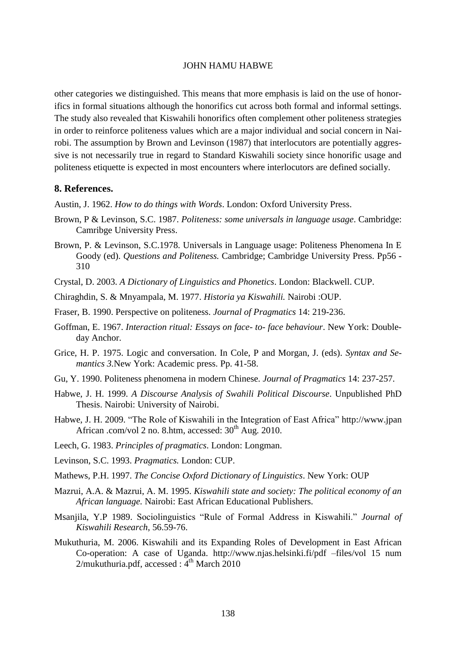other categories we distinguished. This means that more emphasis is laid on the use of honorifics in formal situations although the honorifics cut across both formal and informal settings. The study also revealed that Kiswahili honorifics often complement other politeness strategies in order to reinforce politeness values which are a major individual and social concern in Nairobi. The assumption by Brown and Levinson (1987) that interlocutors are potentially aggressive is not necessarily true in regard to Standard Kiswahili society since honorific usage and politeness etiquette is expected in most encounters where interlocutors are defined socially.

#### **8. References.**

Austin, J. 1962. *How to do things with Words*. London: Oxford University Press.

- Brown, P & Levinson, S.C. 1987. *Politeness: some universals in language usage*. Cambridge: Camribge University Press.
- Brown, P. & Levinson, S.C.1978. Universals in Language usage: Politeness Phenomena In E Goody (ed). *Questions and Politeness.* Cambridge; Cambridge University Press. Pp56 - 310
- Crystal, D. 2003. *A Dictionary of Linguistics and Phonetics*. London: Blackwell. CUP.
- Chiraghdin, S. & Mnyampala, M. 1977. *Historia ya Kiswahili.* Nairobi :OUP.
- Fraser, B. 1990. Perspective on politeness. *Journal of Pragmatics* 14: 219-236.
- Goffman, E. 1967. *Interaction ritual: Essays on face- to- face behaviour*. New York: Doubleday Anchor.
- Grice, H. P. 1975. Logic and conversation. In Cole, P and Morgan, J. (eds). *Syntax and Semantics 3.*New York: Academic press. Pp. 41-58.
- Gu, Y. 1990. Politeness phenomena in modern Chinese. *Journal of Pragmatics* 14: 237-257.
- Habwe, J. H. 1999. *A Discourse Analysis of Swahili Political Discourse*. Unpublished PhD Thesis. Nairobi: University of Nairobi.
- Habwe, J. H. 2009. "The Role of Kiswahili in the Integration of East Africa" [http://www.jpan](http://www.jpan/) African .com/vol 2 no. 8.htm, accessed:  $30<sup>th</sup>$  Aug. 2010.
- Leech, G. 1983. *Principles of pragmatics*. London: Longman.
- Levinson, S.C. 1993. *Pragmatics.* London: CUP.
- Mathews, P.H. 1997. *The Concise Oxford Dictionary of Linguistics*. New York: OUP
- Mazrui, A.A. & Mazrui, A. M. 1995. *Kiswahili state and society: The political economy of an African language.* Nairobi: East African Educational Publishers.
- Msanjila, Y.P 1989. Sociolinguistics "Rule of Formal Address in Kiswahili." *Journal of Kiswahili Research*, 56.59-76.
- Mukuthuria, M. 2006. Kiswahili and its Expanding Roles of Development in East African Co-operation: A case of Uganda. [http://www.njas.helsinki.fi/pdf –files/vol 15 num](http://www.njas.helsinki.fi/pdf%20–files/vol%2015%20num%202/mukuthuria.pdf)  [2/mukuthuria.pdf,](http://www.njas.helsinki.fi/pdf%20–files/vol%2015%20num%202/mukuthuria.pdf) accessed : 4<sup>th</sup> March 2010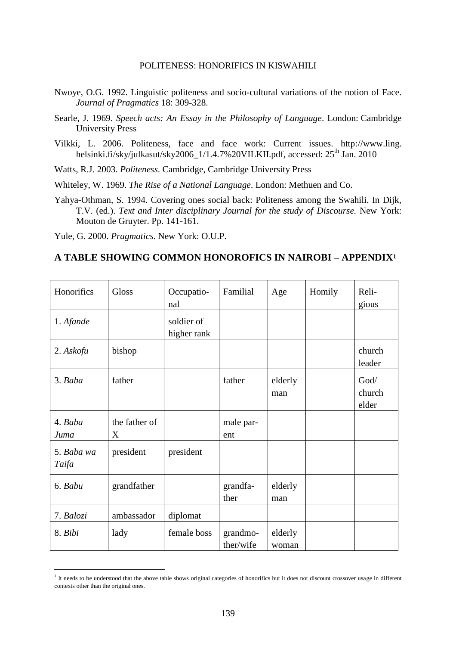- Nwoye, O.G. 1992. Linguistic politeness and socio-cultural variations of the notion of Face. *Journal of Pragmatics* 18: 309-328.
- Searle, J. 1969. *Speech acts: An Essay in the Philosophy of Language*. London: Cambridge University Press
- Vilkki, L. 2006. Politeness, face and face work: Current issues. http://www.ling. helsinki.fi/sky/julkasut/sky2006\_1/1.4.7%20VILKII.pdf, accessed: 25<sup>th</sup> Jan. 2010

Watts, R.J. 2003. *Politeness*. Cambridge, Cambridge University Press

Whiteley, W. 1969. *The Rise of a National Language*. London: Methuen and Co.

Yahya-Othman, S. 1994. Covering ones social back: Politeness among the Swahili. In Dijk, T.V. (ed.). *Text and Inter disciplinary Journal for the study of Discourse.* New York: Mouton de Gruyter. Pp. 141-161.

Yule, G. 2000. *Pragmatics*. New York: O.U.P.

 $\overline{a}$ 

### **A TABLE SHOWING COMMON HONOROFICS IN NAIROBI – APPENDIX<sup>1</sup>**

| Honorifics          | Gloss              | Occupatio-<br>nal         | Familial              | Age              | Homily | Reli-<br>gious          |
|---------------------|--------------------|---------------------------|-----------------------|------------------|--------|-------------------------|
| 1. Afande           |                    | soldier of<br>higher rank |                       |                  |        |                         |
| 2. Askofu           | bishop             |                           |                       |                  |        | church<br>leader        |
| 3. Baba             | father             |                           | father                | elderly<br>man   |        | God/<br>church<br>elder |
| 4. Baba<br>Juma     | the father of<br>X |                           | male par-<br>ent      |                  |        |                         |
| 5. Baba wa<br>Taifa | president          | president                 |                       |                  |        |                         |
| 6. Babu             | grandfather        |                           | grandfa-<br>ther      | elderly<br>man   |        |                         |
| 7. Balozi           | ambassador         | diplomat                  |                       |                  |        |                         |
| 8. Bibi             | lady               | female boss               | grandmo-<br>ther/wife | elderly<br>woman |        |                         |

<sup>&</sup>lt;sup>1</sup> It needs to be understood that the above table shows original categories of honorifics but it does not discount crossover usage in different contexts other than the original ones.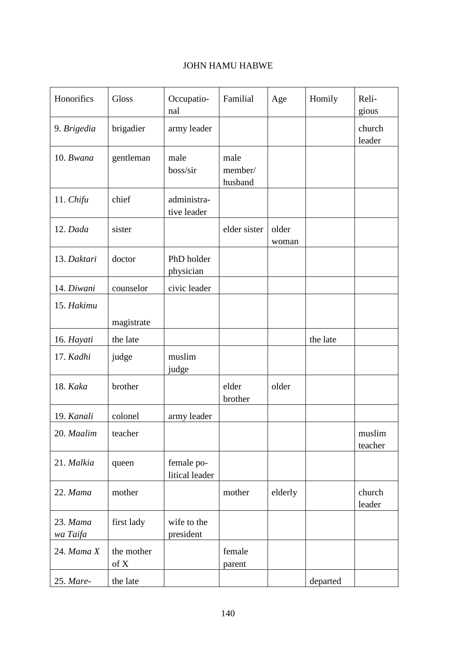| Honorifics           | Gloss              | Occupatio-<br>nal            | Familial                   | Age            | Homily   | Reli-<br>gious    |
|----------------------|--------------------|------------------------------|----------------------------|----------------|----------|-------------------|
| 9. Brigedia          | brigadier          | army leader                  |                            |                |          | church<br>leader  |
| 10. Bwana            | gentleman          | male<br>boss/sir             | male<br>member/<br>husband |                |          |                   |
| 11. Chifu            | chief              | administra-<br>tive leader   |                            |                |          |                   |
| 12. Dada             | sister             |                              | elder sister               | older<br>woman |          |                   |
| 13. Daktari          | doctor             | PhD holder<br>physician      |                            |                |          |                   |
| 14. Diwani           | counselor          | civic leader                 |                            |                |          |                   |
| 15. Hakimu           | magistrate         |                              |                            |                |          |                   |
| 16. Hayati           | the late           |                              |                            |                | the late |                   |
| 17. Kadhi            | judge              | muslim<br>judge              |                            |                |          |                   |
| 18. Kaka             | brother            |                              | elder<br>brother           | older          |          |                   |
| 19. Kanali           | colonel            | army leader                  |                            |                |          |                   |
| 20. Maalim           | teacher            |                              |                            |                |          | muslim<br>teacher |
| 21. Malkia           | queen              | female po-<br>litical leader |                            |                |          |                   |
| 22. Mama             | mother             |                              | mother                     | elderly        |          | church<br>leader  |
| 23. Mama<br>wa Taifa | first lady         | wife to the<br>president     |                            |                |          |                   |
| $24.$ Mama $X$       | the mother<br>of X |                              | female<br>parent           |                |          |                   |
| 25. Mare-            | the late           |                              |                            |                | departed |                   |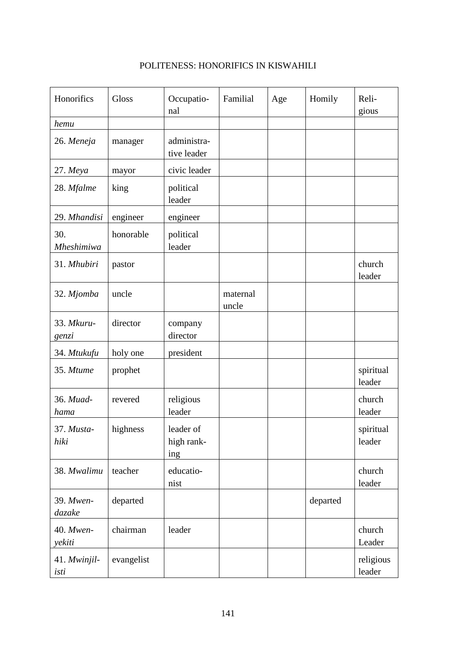| Honorifics               | Gloss      | Occupatio-<br>nal              | Familial          | Age | Homily   | Reli-<br>gious      |
|--------------------------|------------|--------------------------------|-------------------|-----|----------|---------------------|
| hemu                     |            |                                |                   |     |          |                     |
| 26. Meneja               | manager    | administra-<br>tive leader     |                   |     |          |                     |
| 27. Meya                 | mayor      | civic leader                   |                   |     |          |                     |
| 28. Mfalme               | king       | political<br>leader            |                   |     |          |                     |
| 29. Mhandisi             | engineer   | engineer                       |                   |     |          |                     |
| 30.<br><b>Mheshimiwa</b> | honorable  | political<br>leader            |                   |     |          |                     |
| 31. Mhubiri              | pastor     |                                |                   |     |          | church<br>leader    |
| 32. Mjomba               | uncle      |                                | maternal<br>uncle |     |          |                     |
| 33. Mkuru-<br>genzi      | director   | company<br>director            |                   |     |          |                     |
| 34. Mtukufu              | holy one   | president                      |                   |     |          |                     |
| 35. Mtume                | prophet    |                                |                   |     |          | spiritual<br>leader |
| 36. Muad-<br>hama        | revered    | religious<br>leader            |                   |     |          | church<br>leader    |
| 37. Musta-<br>hiki       | highness   | leader of<br>high rank-<br>ing |                   |     |          | spiritual<br>leader |
| 38. Mwalimu              | teacher    | educatio-<br>nist              |                   |     |          | church<br>leader    |
| 39. Mwen-<br>dazake      | departed   |                                |                   |     | departed |                     |
| 40. Mwen-<br>yekiti      | chairman   | leader                         |                   |     |          | church<br>Leader    |
| 41. Mwinjil-<br>isti     | evangelist |                                |                   |     |          | religious<br>leader |